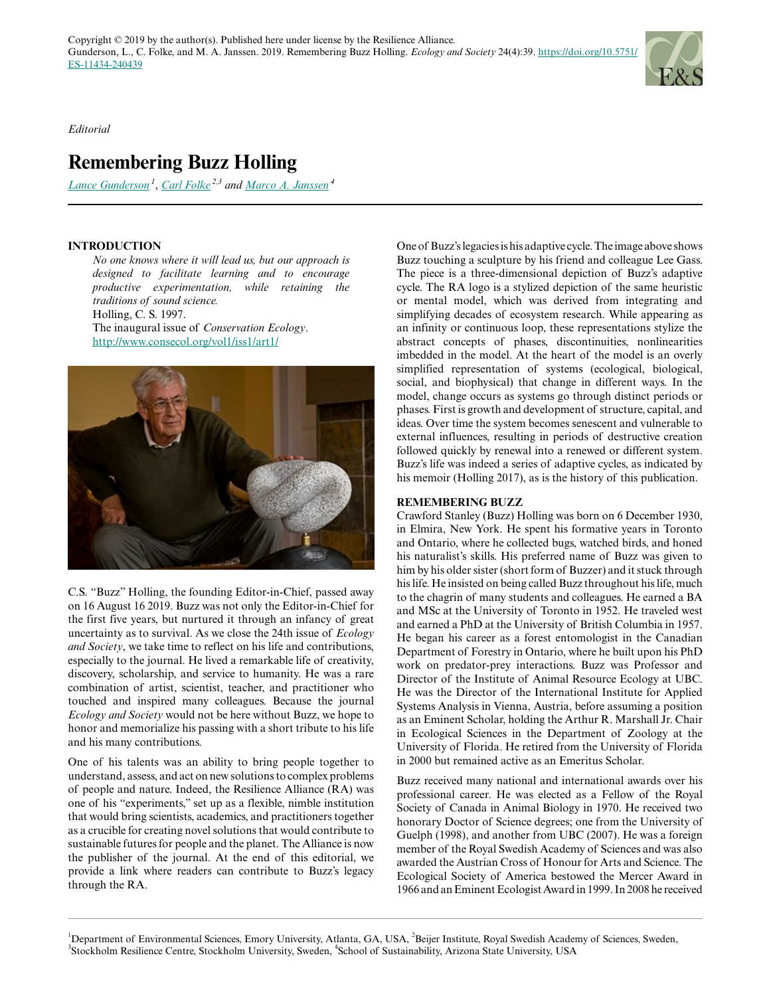*Editorial*

# **Remembering Buzz Holling**

*[Lance Gunderson](mailto:lgunder@emory.edu)<sup>1</sup>* , *[Carl Folke](mailto:carl.folke@beijer.kva.se) 2,3 and [Marco A. Janssen](mailto:Marco.Janssen@asu.edu)<sup>4</sup>*

### **INTRODUCTION**

*No one knows where it will lead us, but our approach is designed to facilitate learning and to encourage productive experimentation, while retaining the traditions of sound science.* Holling, C. S. 1997. The inaugural issue of *Conservation Ecology*. <http://www.consecol.org/vol1/iss1/art1/>



C.S. "Buzz" Holling, the founding Editor-in-Chief, passed away on 16 August 16 2019. Buzz was not only the Editor-in-Chief for the first five years, but nurtured it through an infancy of great uncertainty as to survival. As we close the 24th issue of *Ecology and Society*, we take time to reflect on his life and contributions, especially to the journal. He lived a remarkable life of creativity, discovery, scholarship, and service to humanity. He was a rare combination of artist, scientist, teacher, and practitioner who touched and inspired many colleagues. Because the journal *Ecology and Society* would not be here without Buzz, we hope to honor and memorialize his passing with a short tribute to his life and his many contributions.

One of his talents was an ability to bring people together to understand, assess, and act on new solutions to complex problems of people and nature. Indeed, the Resilience Alliance (RA) was one of his "experiments," set up as a flexible, nimble institution that would bring scientists, academics, and practitioners together as a crucible for creating novel solutions that would contribute to sustainable futures for people and the planet. The Alliance is now the publisher of the journal. At the end of this editorial, we provide a link where readers can contribute to Buzz's legacy through the RA.

One of Buzz's legacies is his adaptive cycle. The image above shows Buzz touching a sculpture by his friend and colleague Lee Gass. The piece is a three-dimensional depiction of Buzz's adaptive cycle. The RA logo is a stylized depiction of the same heuristic or mental model, which was derived from integrating and simplifying decades of ecosystem research. While appearing as an infinity or continuous loop, these representations stylize the abstract concepts of phases, discontinuities, nonlinearities imbedded in the model. At the heart of the model is an overly simplified representation of systems (ecological, biological, social, and biophysical) that change in different ways. In the model, change occurs as systems go through distinct periods or phases. First is growth and development of structure, capital, and ideas. Over time the system becomes senescent and vulnerable to external influences, resulting in periods of destructive creation followed quickly by renewal into a renewed or different system. Buzz's life was indeed a series of adaptive cycles, as indicated by his memoir (Holling 2017), as is the history of this publication.

### **REMEMBERING BUZZ**

Crawford Stanley (Buzz) Holling was born on 6 December 1930, in Elmira, New York. He spent his formative years in Toronto and Ontario, where he collected bugs, watched birds, and honed his naturalist's skills. His preferred name of Buzz was given to him by his older sister (short form of Buzzer) and it stuck through his life. He insisted on being called Buzz throughout his life, much to the chagrin of many students and colleagues. He earned a BA and MSc at the University of Toronto in 1952. He traveled west and earned a PhD at the University of British Columbia in 1957. He began his career as a forest entomologist in the Canadian Department of Forestry in Ontario, where he built upon his PhD work on predator-prey interactions. Buzz was Professor and Director of the Institute of Animal Resource Ecology at UBC. He was the Director of the International Institute for Applied Systems Analysis in Vienna, Austria, before assuming a position as an Eminent Scholar, holding the Arthur R. Marshall Jr. Chair in Ecological Sciences in the Department of Zoology at the University of Florida. He retired from the University of Florida in 2000 but remained active as an Emeritus Scholar.

Buzz received many national and international awards over his professional career. He was elected as a Fellow of the Royal Society of Canada in Animal Biology in 1970. He received two honorary Doctor of Science degrees; one from the University of Guelph (1998), and another from UBC (2007). He was a foreign member of the Royal Swedish Academy of Sciences and was also awarded the Austrian Cross of Honour for Arts and Science. The Ecological Society of America bestowed the Mercer Award in 1966 and an Eminent Ecologist Award in 1999. In 2008 he received

<sup>&</sup>lt;sup>1</sup>Department of Environmental Sciences, Emory University, Atlanta, GA, USA, <sup>2</sup>Beijer Institute, Royal Swedish Academy of Sciences, Sweden, <sup>3</sup>Stockholm Resilience Centre, Stockholm University, Sweden, <sup>4</sup>School of Sustainability, Arizona State University, USA